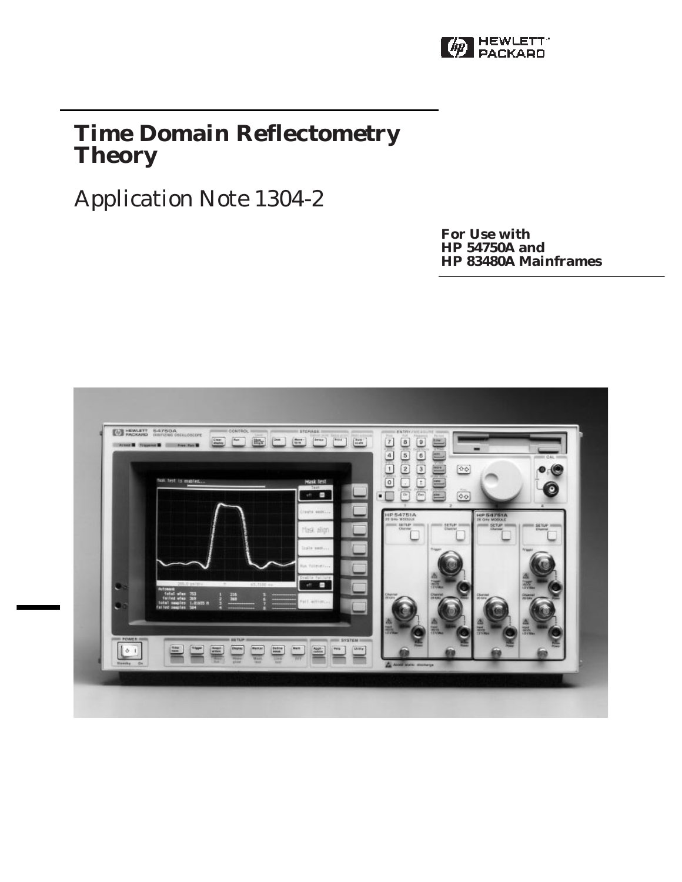

## **Time Domain Reflectometry Theory**

# Application Note 1304-2

**For Use with HP 54750A and HP 83480A Mainframes**

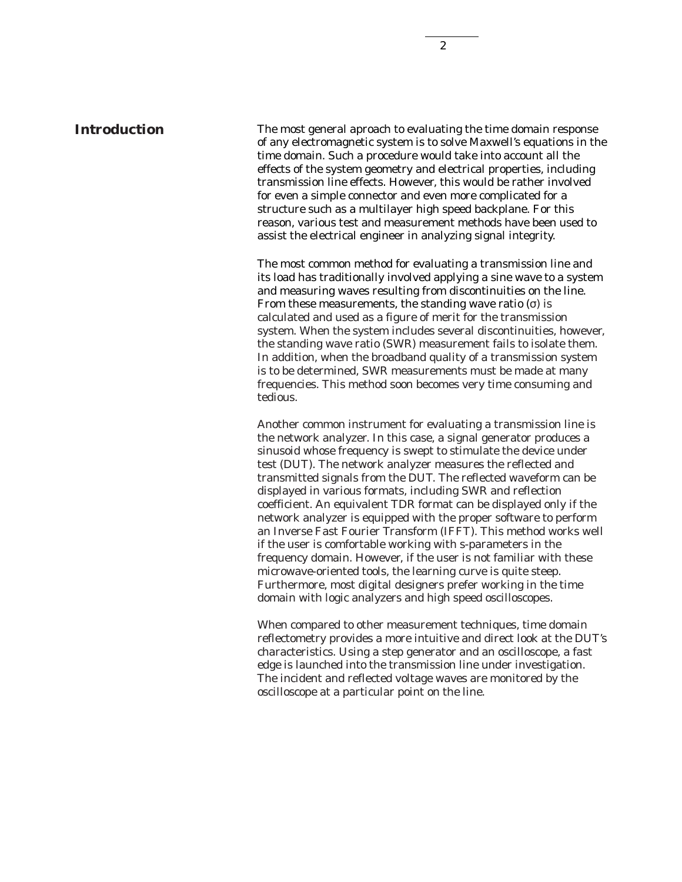The most general aproach to evaluating the time domain response of any electromagnetic system is to solve Maxwell's equations in the time domain. Such a procedure would take into account all the effects of the system geometry and electrical properties, including transmission line effects. However, this would be rather involved for even a simple connector and even more complicated for a structure such as a multilayer high speed backplane. For this reason, various test and measurement methods have been used to assist the electrical engineer in analyzing signal integrity.

The most common method for evaluating a transmission line and its load has traditionally involved applying a sine wave to a system and measuring waves resulting from discontinuities on the line. From these measurements, the standing wave ratio  $(σ)$  is calculated and used as a figure of merit for the transmission system. When the system includes several discontinuities, however, the standing wave ratio (SWR) measurement fails to isolate them. In addition, when the broadband quality of a transmission system is to be determined, SWR measurements must be made at many frequencies. This method soon becomes very time consuming and tedious.

Another common instrument for evaluating a transmission line is the network analyzer. In this case, a signal generator produces a sinusoid whose frequency is swept to stimulate the device under test (DUT). The network analyzer measures the reflected and transmitted signals from the DUT. The reflected waveform can be displayed in various formats, including SWR and reflection coefficient. An equivalent TDR format can be displayed only if the network analyzer is equipped with the proper software to perform an Inverse Fast Fourier Transform (IFFT). This method works well if the user is comfortable working with s-parameters in the frequency domain. However, if the user is not familiar with these microwave-oriented tools, the learning curve is quite steep. Furthermore, most digital designers prefer working in the time domain with logic analyzers and high speed oscilloscopes.

When compared to other measurement techniques, time domain reflectometry provides a more intuitive and direct look at the DUT's characteristics. Using a step generator and an oscilloscope, a fast edge is launched into the transmission line under investigation. The incident and reflected voltage waves are monitored by the oscilloscope at a particular point on the line.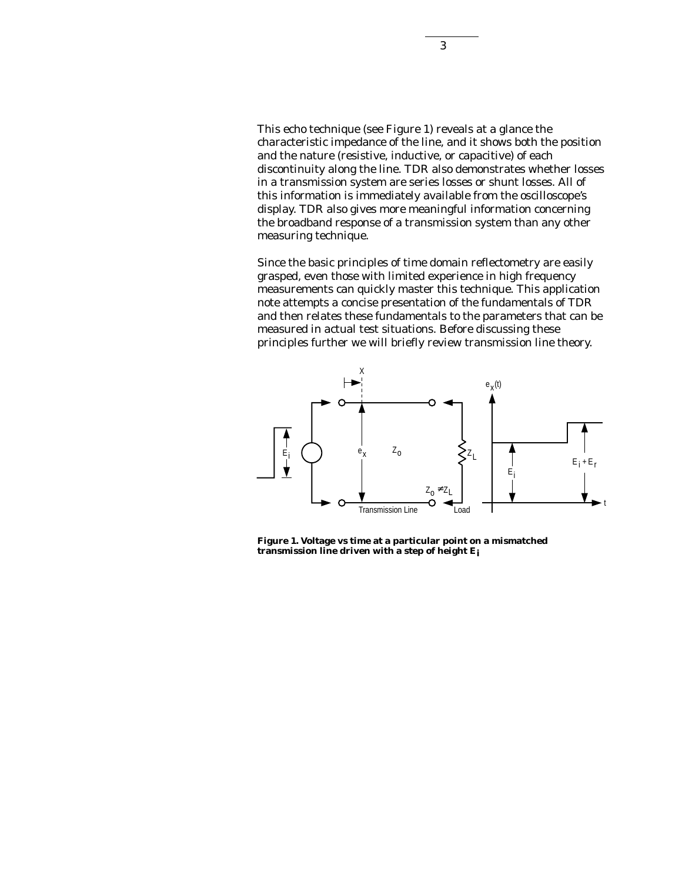This echo technique (see Figure 1) reveals at a glance the characteristic impedance of the line, and it shows both the position and the nature (resistive, inductive, or capacitive) of each discontinuity along the line. TDR also demonstrates whether losses in a transmission system are series losses or shunt losses. All of this information is immediately available from the oscilloscope's display. TDR also gives more meaningful information concerning the broadband response of a transmission system than any other measuring technique.

Since the basic principles of time domain reflectometry are easily grasped, even those with limited experience in high frequency measurements can quickly master this technique. This application note attempts a concise presentation of the fundamentals of TDR and then relates these fundamentals to the parameters that can be measured in actual test situations. Before discussing these principles further we will briefly review transmission line theory.



**Figure 1. Voltage vs time at a particular point on a mismatched transmission line driven with a step of height Ei**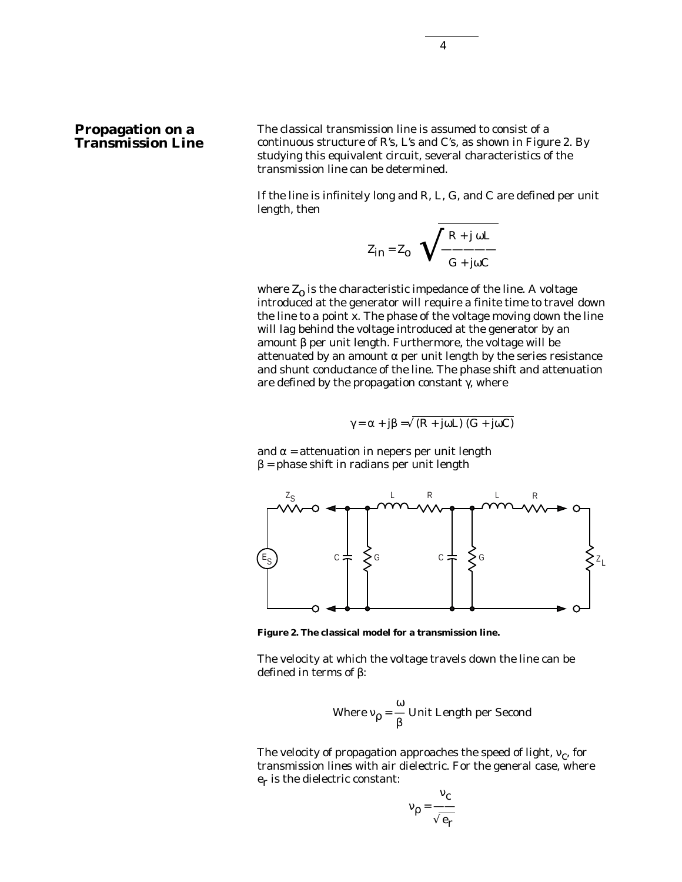4

## **Propagation on a Transmission Line**

The classical transmission line is assumed to consist of a continuous structure of R's, L's and C's, as shown in Figure 2. By studying this equivalent circuit, several characteristics of the transmission line can be determined.

If the line is infinitely long and R, L, G, and C are defined per unit length, then

$$
Z_{in} = Z_0 \sqrt{\frac{R + j \omega L}{G + j \omega C}}
$$

where  $Z_0$  is the characteristic impedance of the line. A voltage introduced at the generator will require a finite time to travel down the line to a point x. The phase of the voltage moving down the line will lag behind the voltage introduced at the generator by an amount β per unit length. Furthermore, the voltage will be attenuated by an amount  $\alpha$  per unit length by the series resistance and shunt conductance of the line. The phase shift and attenuation are defined by the propagation constant  $\gamma$ , where

$$
\gamma = \alpha + j\beta = \sqrt{(R + j\omega L)(G + j\omega C)}
$$

and  $\alpha$  = attenuation in nepers per unit length  $β = phase shift in radians per unit length$ 



**Figure 2. The classical model for a transmission line.**

The velocity at which the voltage travels down the line can be defined in terms of β:

Where 
$$
v_{\rho} = \frac{\omega}{\beta}
$$
 Unit Length per Second

The velocity of propagation approaches the speed of light,  $v_c$ , for transmission lines with air dielectric. For the general case, where  $e_r$  is the dielectric constant:

$$
v_{\rho} = \frac{v_{c}}{\sqrt{e_{r}}}
$$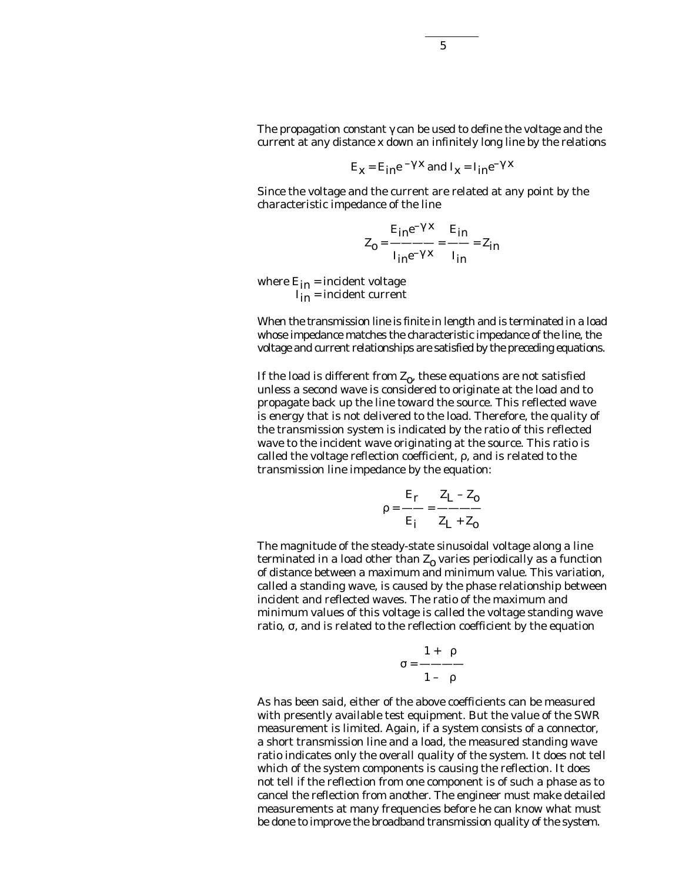The propagation constant  $\gamma$  can be used to define the voltage and the current at any distance x down an infinitely long line by the relations

$$
E_X = E_{in}e^{-\gamma x}
$$
 and  $I_X = I_{in}e^{-\gamma x}$ 

Since the voltage and the current are related at any point by the characteristic impedance of the line

$$
Z_0 = \frac{E_{in}e^{-\gamma x}}{I_{in}e^{-\gamma x}} = \frac{E_{in}}{I_{in}} = Z_{in}
$$

where  $E_{in}$  = incident voltage  $I_{in}$  = incident current

When the transmission line is finite in length and is terminated in a load whose impedance matches the characteristic impedance of the line, the voltage and current relationships are satisfied by the preceding equations.

If the load is different from  $Z_0$ , these equations are not satisfied unless a second wave is considered to originate at the load and to propagate back up the line toward the source. This reflected wave is energy that is not delivered to the load. Therefore, the quality of the transmission system is indicated by the ratio of this reflected wave to the incident wave originating at the source. This ratio is called the voltage reflection coefficient, ρ, and is related to the transmission line impedance by the equation:

$$
\rho = \frac{E_r}{E_i} = \frac{Z_L - Z_o}{Z_L + Z_o}
$$

The magnitude of the steady-state sinusoidal voltage along a line terminated in a load other than  $Z_0$  varies periodically as a function of distance between a maximum and minimum value. This variation, called a standing wave, is caused by the phase relationship between incident and reflected waves. The ratio of the maximum and minimum values of this voltage is called the voltage standing wave ratio, σ, and is related to the reflection coefficient by the equation

$$
\sigma = \frac{1 + |\rho|}{1 - |\rho|}
$$

As has been said, either of the above coefficients can be measured with presently available test equipment. But the value of the SWR measurement is limited. Again, if a system consists of a connector, a short transmission line and a load, the measured standing wave ratio indicates only the overall quality of the system. It does not tell which of the system components is causing the reflection. It does not tell if the reflection from one component is of such a phase as to cancel the reflection from another. The engineer must make detailed measurements at many frequencies before he can know what must be done to improve the broadband transmission quality of the system.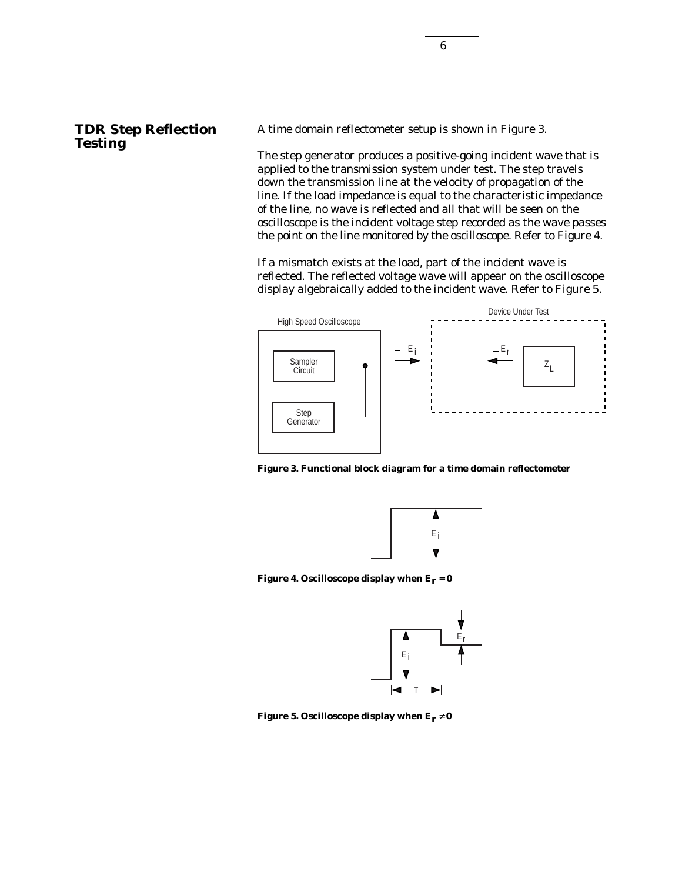## **TDR Step Reflection Testing**

A time domain reflectometer setup is shown in Figure 3.

The step generator produces a positive-going incident wave that is applied to the transmission system under test. The step travels down the transmission line at the velocity of propagation of the line. If the load impedance is equal to the characteristic impedance of the line, no wave is reflected and all that will be seen on the oscilloscope is the incident voltage step recorded as the wave passes the point on the line monitored by the oscilloscope. Refer to Figure 4.

If a mismatch exists at the load, part of the incident wave is reflected. The reflected voltage wave will appear on the oscilloscope display algebraically added to the incident wave. Refer to Figure 5.



**Figure 3. Functional block diagram for a time domain reflectometer**



**Figure 4. Oscilloscope display when**  $E_r = 0$ 



**Figure 5. Oscilloscope display when**  $E_r \neq 0$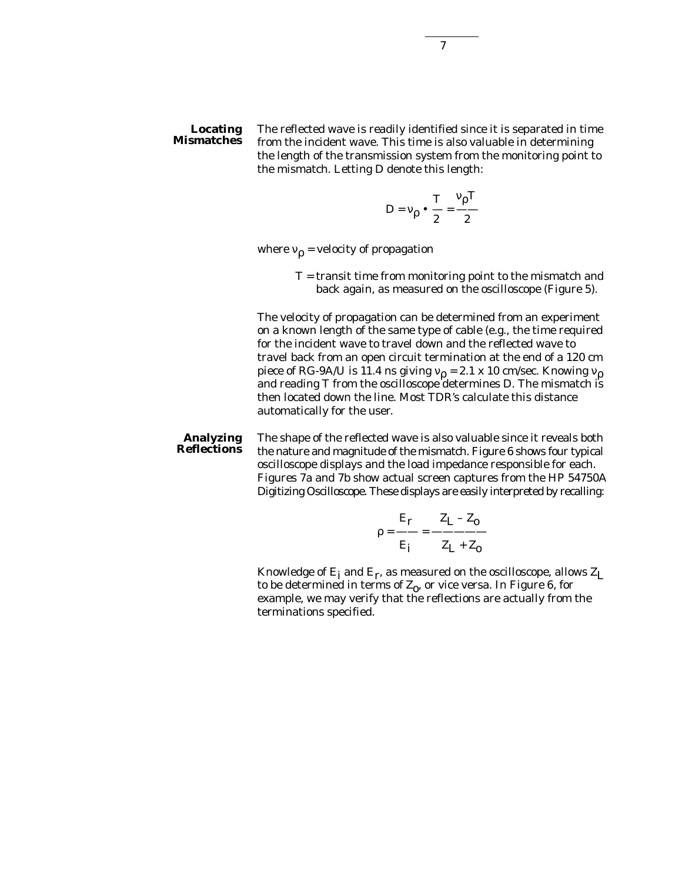#### **Locating Mismatches**

The reflected wave is readily identified since it is separated in time from the incident wave. This time is also valuable in determining the length of the transmission system from the monitoring point to the mismatch. Letting D denote this length:

$$
D = v_{\rho} \cdot \frac{T}{2} = \frac{v_{\rho}T}{2}
$$

where  $v_p$  = velocity of propagation

T = transit time from monitoring point to the mismatch and back again, as measured on the oscilloscope (Figure 5).

The velocity of propagation can be determined from an experiment on a known length of the same type of cable (e.g., the time required for the incident wave to travel down and the reflected wave to travel back from an open circuit termination at the end of a 120 cm<br>piece of RG-9A/U is 11.4 ns giving  $v_p = 2.1 \times 10$  cm/sec. Knowing  $v_p$ and reading T from the oscilloscope determines D. The mismatch is then located down the line. Most TDR's calculate this distance automatically for the user.

The shape of the reflected wave is also valuable since it reveals both the nature and magnitude of the mismatch. Figure 6 shows four typical oscilloscope displays and the load impedance responsible for each. Figures 7a and 7b show actual screen captures from the HP 54750A Digitizing Oscilloscope. These displays are easily interpreted by recalling: **Analyzing Reflections**

$$
\rho = \frac{E_r}{E_i} = \frac{Z_L - Z_o}{Z_L + Z_o}
$$

Knowledge of  $E_i$  and  $E_r$ , as measured on the oscilloscope, allows  $Z_L$ to be determined in terms of  $Z_0$ , or vice versa. In Figure 6, for example, we may verify that the reflections are actually from the terminations specified.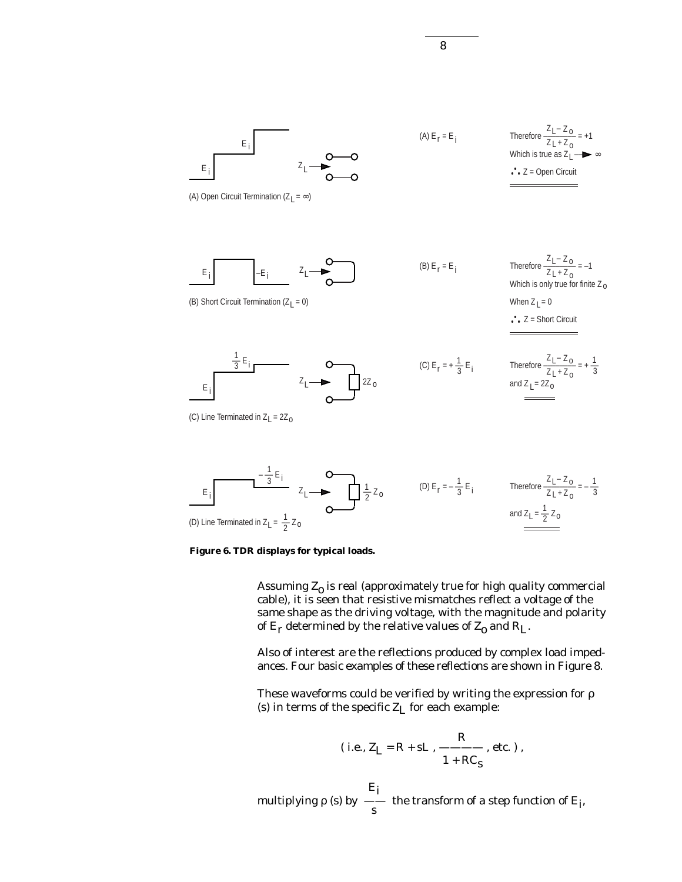

Therefore 
$$
\frac{Z_L - Z_O}{Z_L + Z_O} = +1
$$
  
Which is true as  $Z_L$   $\rightarrow \infty$   
•  $Z = \text{Open Circuit}$ 

E i

E i

\n
$$
E_i
$$
\n $E_i$ \n $E_i$ \n

\n\n $\frac{1}{3}E_i$ \n

\n\n $\frac{1}{3}E_i$ \n

\n\n $\frac{1}{2}E_i$ \n

\n\n $\frac{1}{2}E_i$ \n

\n\n $\frac{1}{2}E_i$ \n

\n\n $\frac{1}{2}E_i$ \n

\n\n $\frac{1}{2}E_i$ \n

\n\n $\frac{1}{2}E_i$ \n

\n\n $\frac{1}{2}E_i$ \n

\n\n $\frac{1}{2}E_i$ \n

\n\n $\frac{1}{2}E_i$ \n

\n\n $\frac{1}{2}E_i$ \n

\n\n $\frac{1}{2}E_i$ \n

\n\n $\frac{1}{2}E_i$ \n

\n\n $\frac{1}{2}E_i$ \n

\n\n $\frac{1}{2}E_i$ \n

\n\n $\frac{1}{2}E_i$ \n

\n\n $\frac{1}{2}E_i$ \n

\n\n $\frac{1}{2}E_i$ \n

\n\n $\frac{1}{2}E_i$ \n

\n\n $\frac{1}{2}E_i$ \n

\n\n $\frac{1}{2}E_i$ \n

\n\n $\frac{1}{2}E_i$ \n

\n\n $\frac{1}{2}E_i$ \n

\n\n $\frac{1}{2}E_i$ \n

\n\n $\frac{1}{2}E_i$ \n

\n\n $\frac{1}{2}E_i$ \n

\n\n $\frac{1}{2}E_i$ \n

\n\n $\frac{1}{2}E_i$ \n

\n\n $\frac{1}{2}E_i$ \n

\n\n $\frac{1}{2}E_i$ \n

\n\n $\frac{1}{2}E_i$ \n

\n\n $\frac{1}{2}E_i$ \n

\n\n $\frac{$ 

8

(C) Line Terminated in  $Z_1 = 2Z_0$ 

$$
E_i
$$
\n
$$
= \frac{-\frac{1}{3}E_i}{2L + Z_0}
$$
\n
$$
= \frac{1}{2}Z_0
$$
\n(D) Line Terminated in  $Z_L = \frac{1}{2}Z_0$ \n(D)  $E_r = -\frac{1}{3}E_i$  Therefore  $\frac{Z_L - Z_0}{Z_L + Z_0} = -\frac{1}{3}$  and  $Z_L = \frac{1}{2}Z_0$ 



Assuming  $Z_0$  is real (approximately true for high quality commercial cable), it is seen that resistive mismatches reflect a voltage of the same shape as the driving voltage, with the magnitude and polarity of  $E_r$  determined by the relative values of  $Z_0$  and  $R_L$ .

Also of interest are the reflections produced by complex load impedances. Four basic examples of these reflections are shown in Figure 8.

These waveforms could be verified by writing the expression for ρ (s) in terms of the specific  $Z_L$  for each example:

(i.e., 
$$
Z_L = R + sL
$$
,  $\frac{R}{1 + RC_s}$ , etc.)

 $E_{\bf i}$ multiplying  $\rho$  (s) by  $\frac{1}{s}$  the transform of a step function of E<sub>i</sub>,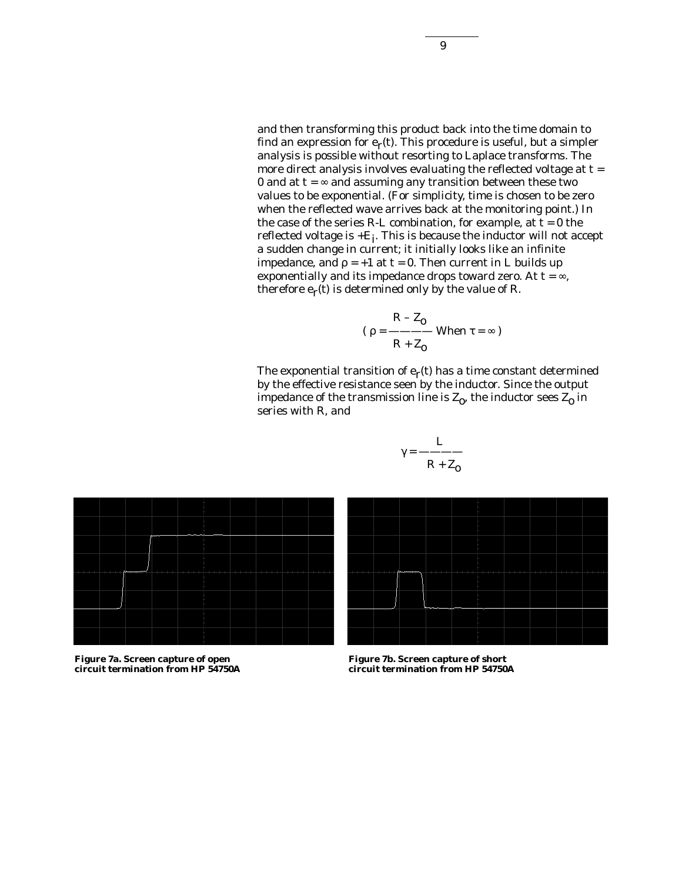and then transforming this product back into the time domain to find an expression for  $e_r(t)$ . This procedure is useful, but a simpler analysis is possible without resorting to Laplace transforms. The more direct analysis involves evaluating the reflected voltage at  $t =$ 0 and at  $t = \infty$  and assuming any transition between these two values to be exponential. (For simplicity, time is chosen to be zero when the reflected wave arrives back at the monitoring point.) In the case of the series R-L combination, for example, at  $t = 0$  the reflected voltage is  $+E_i$ . This is because the inductor will not accept a sudden change in current; it initially looks like an infinite impedance, and  $ρ = +1$  at  $t = 0$ . Then current in L builds up exponentially and its impedance drops toward zero. At  $t = \infty$ , therefore  $e_r(t)$  is determined only by the value of R.

$$
(\rho = \frac{R - Z_0}{R + Z_0} \text{ When } \tau = \infty)
$$

The exponential transition of  $e_r(t)$  has a time constant determined by the effective resistance seen by the inductor. Since the output impedance of the transmission line is  $Z_0$ , the inductor sees  $Z_0$  in series with R, and





**Figure 7a. Screen capture of open circuit termination from HP 54750A**

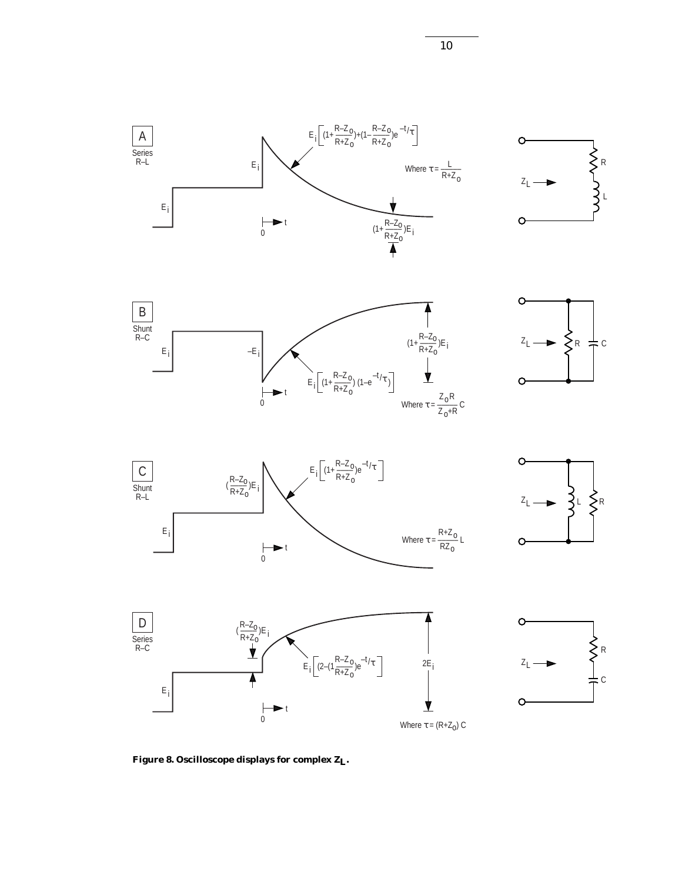















Figure 8. Oscilloscope displays for complex Z<sub>L</sub>.

10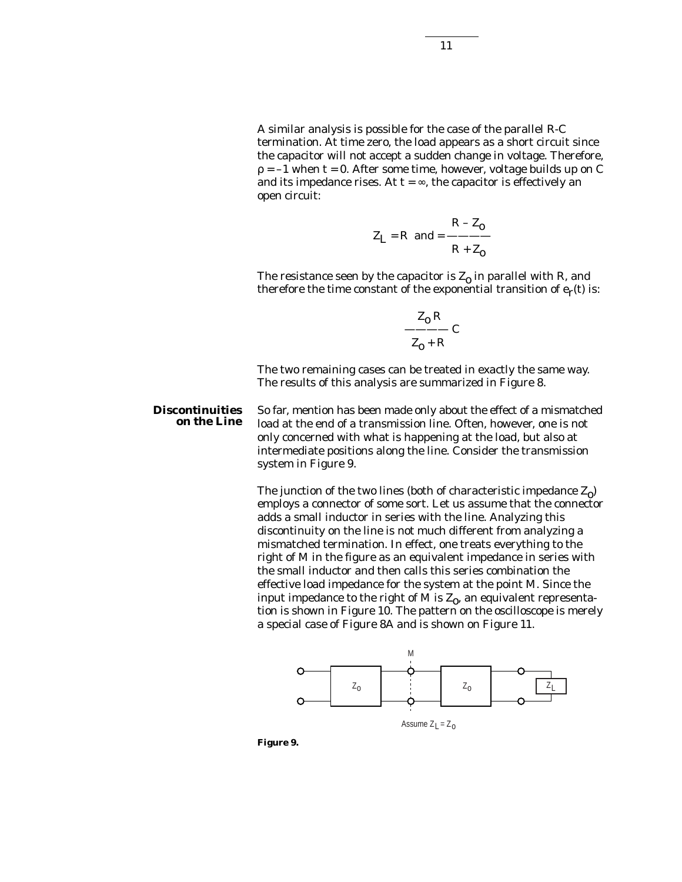A similar analysis is possible for the case of the parallel R-C termination. At time zero, the load appears as a short circuit since the capacitor will not accept a sudden change in voltage. Therefore,  $p = -1$  when t = 0. After some time, however, voltage builds up on C and its impedance rises. At  $t = \infty$ , the capacitor is effectively an open circuit:

$$
Z_{L} = R \quad \text{and} \quad \frac{R - Z_{0}}{R + Z_{0}}
$$

The resistance seen by the capacitor is  $Z_0$  in parallel with R, and therefore the time constant of the exponential transition of  $e_r(t)$  is:

$$
\frac{Z_0 R}{Z_0 + R} C
$$

The two remaining cases can be treated in exactly the same way. The results of this analysis are summarized in Figure 8.

So far, mention has been made only about the effect of a mismatched load at the end of a transmission line. Often, however, one is not only concerned with what is happening at the load, but also at intermediate positions along the line. Consider the transmission system in Figure 9. **Discontinuities on the Line**

> The junction of the two lines (both of characteristic impedance  $Z_0$ ) employs a connector of some sort. Let us assume that the connector adds a small inductor in series with the line. Analyzing this discontinuity on the line is not much different from analyzing a mismatched termination. In effect, one treats everything to the right of M in the figure as an equivalent impedance in series with the small inductor and then calls this series combination the effective load impedance for the system at the point M. Since the input impedance to the right of M is  $Z_0$ , an equivalent representation is shown in Figure 10. The pattern on the oscilloscope is merely a special case of Figure 8A and is shown on Figure 11.



**Figure 9.**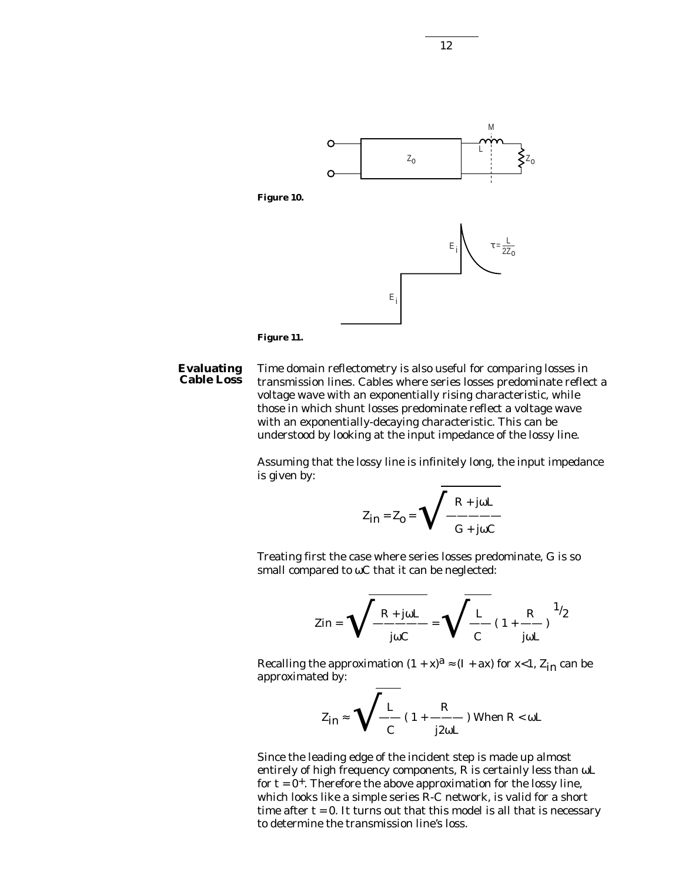



#### Time domain reflectometry is also useful for comparing losses in transmission lines. Cables where series losses predominate reflect a voltage wave with an exponentially rising characteristic, while those in which shunt losses predominate reflect a voltage wave with an exponentially-decaying characteristic. This can be understood by looking at the input impedance of the lossy line. **Evaluating Cable Loss**

Assuming that the lossy line is infinitely long, the input impedance is given by:

$$
Z_{in} = Z_0 = \sqrt{\frac{R + j\omega L}{G + j\omega C}}
$$

Treating first the case where series losses predominate, G is so small compared to ωC that it can be neglected:

$$
Zin = \sqrt{\frac{R + j\omega L}{j\omega C}} = \sqrt{\frac{L}{C}} (1 + \frac{R}{j\omega L})^{1/2}
$$

Recalling the approximation  $(1 + x)^a \approx (I + ax)$  for x<1,  $Z_{in}$  can be approximated by:

$$
Z_{\text{in}} \approx \sqrt{\frac{L}{C} (1 + \frac{R}{j2\omega L}) \text{ When } R < \omega L}
$$

Since the leading edge of the incident step is made up almost entirely of high frequency components, R is certainly less than ωL for  $t = 0^+$ . Therefore the above approximation for the lossy line, which looks like a simple series R-C network, is valid for a short time after  $t = 0$ . It turns out that this model is all that is necessary to determine the transmission line's loss.

12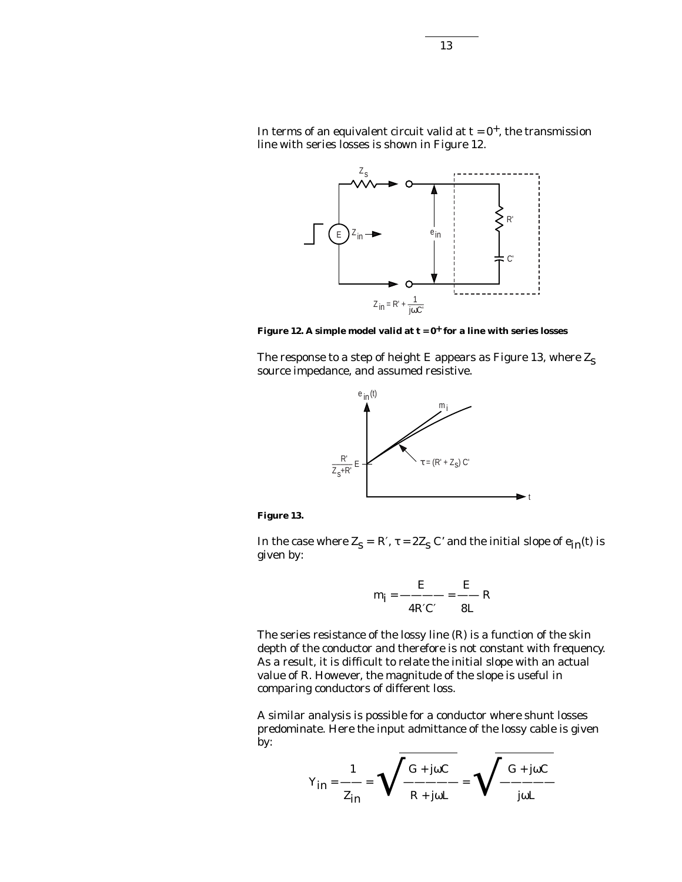In terms of an equivalent circuit valid at  $t = 0^+$ , the transmission line with series losses is shown in Figure 12.



Figure 12. A simple model valid at  $t = 0^+$  for a line with series losses

The response to a step of height E appears as Figure 13, where  $\mathbf{Z}_\mathbf{S}$ source impedance, and assumed resistive.



**Figure 13.**

In the case where  $Z_s = R'$ ,  $\tau = 2Z_s C'$  and the initial slope of  $e_{in}(t)$  is given by:

$$
m_{\mathbf{i}} = \frac{E}{4R'C'} = \frac{E}{8L}R
$$

The series resistance of the lossy line (R) is a function of the skin depth of the conductor and therefore is not constant with frequency. As a result, it is difficult to relate the initial slope with an actual value of R. However, the magnitude of the slope is useful in comparing conductors of different loss.

A similar analysis is possible for a conductor where shunt losses predominate. Here the input admittance of the lossy cable is given by:

$$
Y_{in} = \frac{1}{Z_{in}} = \sqrt{\frac{G + j\omega C}{R + j\omega L}} = \sqrt{\frac{G + j\omega C}{j\omega L}}
$$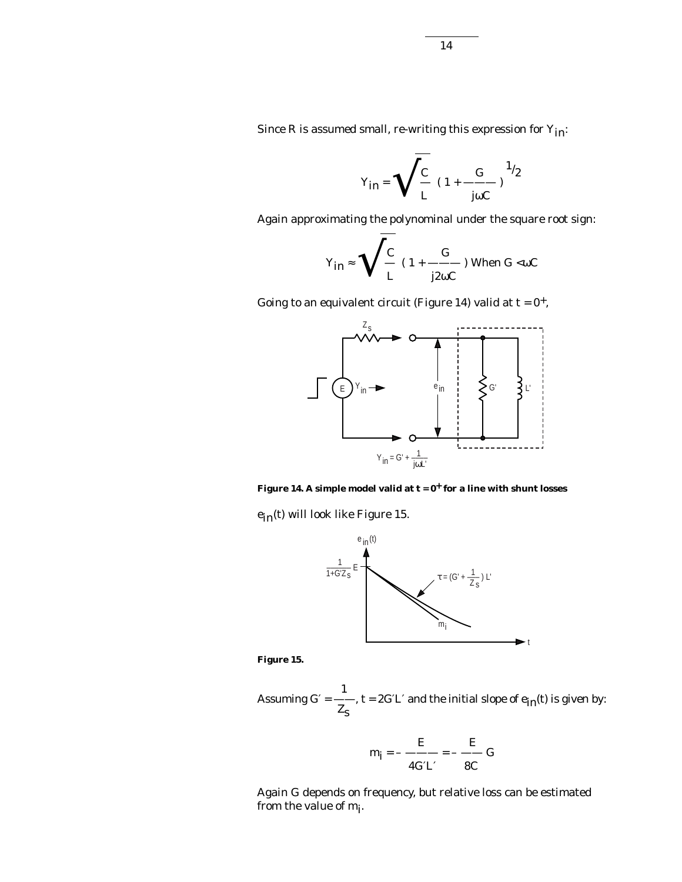Since R is assumed small, re-writing this expression for  $Y_{in}$ :

$$
Y_{in} = \sqrt{\frac{C}{L}} (1 + \frac{G}{j\omega C})^{1/2}
$$

Again approximating the polynominal under the square root sign:

$$
Y_{\text{in}} \approx \sqrt{\frac{C}{L}} (1 + \frac{G}{j2\omega C}) \text{ When } G < \omega C
$$

Going to an equivalent circuit (Figure 14) valid at  $t = 0^+,$ 

r



Figure 14. A simple model valid at  $t = 0^+$  for a line with shunt losses

ein(t) will look like Figure 15.



**Figure 15.**

1 Assuming G´ = --, t = 2G´L´ and the initial slope of  $e_{in}(t)$  is given by:<br> $Z_{S}$ 

$$
m_{\mathbf{i}} = -\frac{E}{4GL'} = -\frac{E}{8C}G
$$

Again G depends on frequency, but relative loss can be estimated from the value of  $m_i$ .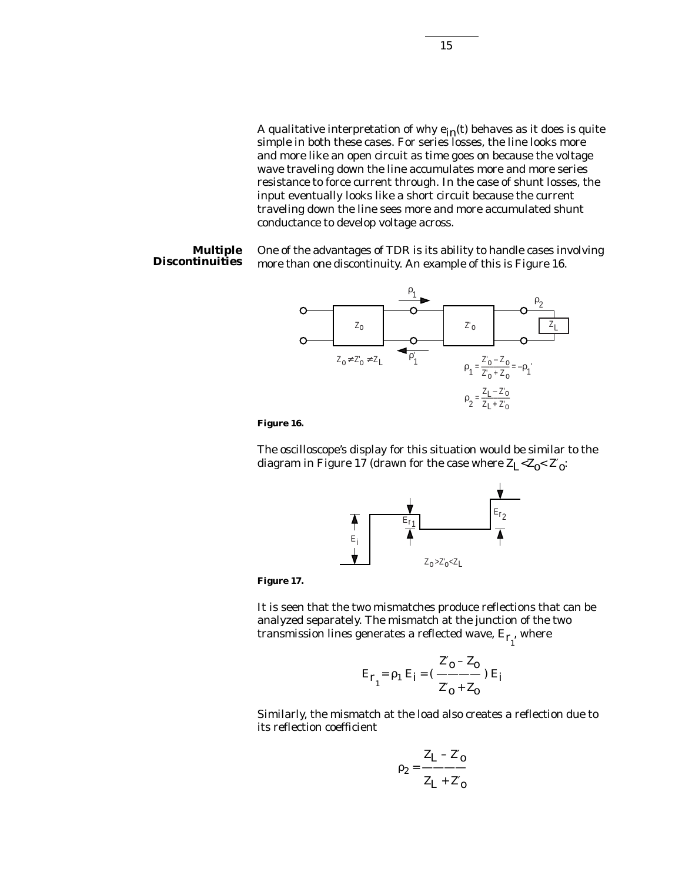A qualitative interpretation of why  $e_{in}(t)$  behaves as it does is quite simple in both these cases. For series losses, the line looks more and more like an open circuit as time goes on because the voltage wave traveling down the line accumulates more and more series resistance to force current through. In the case of shunt losses, the input eventually looks like a short circuit because the current traveling down the line sees more and more accumulated shunt

One of the advantages of TDR is its ability to handle cases involving more than one discontinuity. An example of this is Figure 16. **Multiple Discontinuities**

conductance to develop voltage across.



**Figure 16.**

The oscilloscope's display for this situation would be similar to the diagram in Figure 17 (drawn for the case where  $\rm Z_{L^<}Z_{0^<}$   $\rm Z^{\prime}_{0^{\cdot}}$ 



**Figure 17.**

It is seen that the two mismatches produce reflections that can be analyzed separately. The mismatch at the junction of the two transmission lines generates a reflected wave,  $\mathrm{E}_{{\bf r}_{1}^{}}$  where

$$
E_{r_1} = \rho_1 E_i = (\frac{Z'_0 - Z_0}{Z'_0 + Z_0}) E_i
$$

Similarly, the mismatch at the load also creates a reflection due to its reflection coefficient

$$
\rho_2 = \frac{Z_L - Z'_0}{Z_L + Z'_0}
$$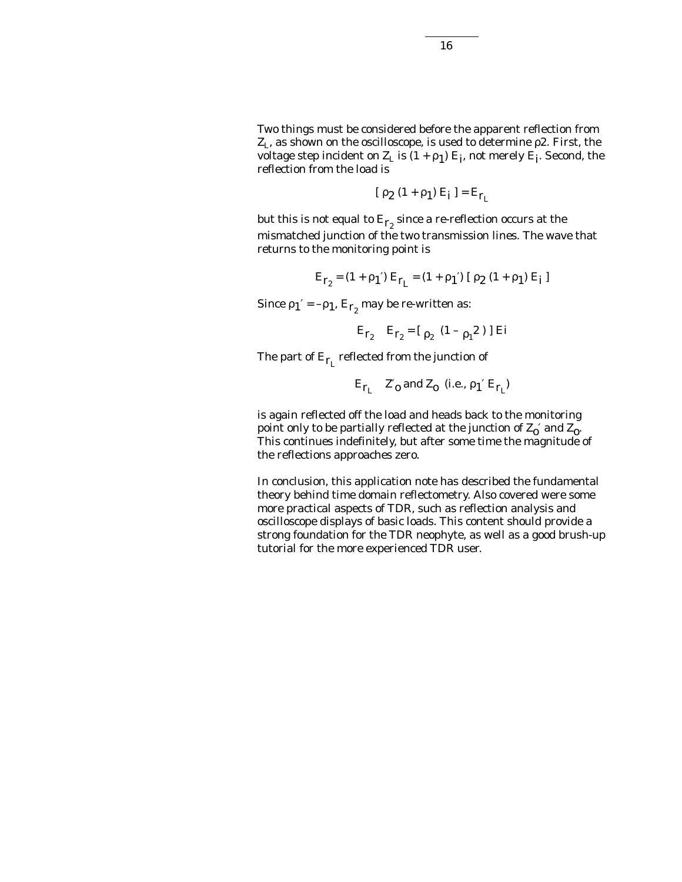Two things must be considered before the apparent reflection from  $Z_L$ , as shown on the oscilloscope, is used to determine  $\rho$ 2. First, the voltage step incident on  $Z_L$  is  $(1 + \rho_1) E_i$ , not merely  $E_i$ . Second, the reflection from the load is

$$
[\rho_2(1+\rho_1) E_i] = E_{r_L}
$$

but this is not equal to  $\mathrm{E_{r_2}}$  since a re-reflection occurs at the mismatched junction of the two transmission lines. The wave that returns to the monitoring point is

$$
E_{r_2} = (1 + \rho_1') E_{r_L} = (1 + \rho_1') [\rho_2 (1 + \rho_1) E_i]
$$

Since  $\rho_1' = -\rho_1$ ,  $E_{r_2}$  may be re-written as:

$$
E_{r_2}
$$
  $E_{r_2} = [ \rho_2 (1 - \rho_1^2)]$  Ei

The part of  $E_{r_1}$  reflected from the junction of

$$
\mathbf{E}_{\mathbf{r}_L} \quad \mathbf{Z'}_0 \text{ and } \mathbf{Z}_0 \text{ (i.e., } \rho_1 \text{' } \mathbf{E}_{\mathbf{r}_L})
$$

is again reflected off the load and heads back to the monitoring point only to be partially reflected at the junction of  $Z_0'$  and  $Z_0$ . This continues indefinitely, but after some time the magnitude of the reflections approaches zero.

In conclusion, this application note has described the fundamental theory behind time domain reflectometry. Also covered were some more practical aspects of TDR, such as reflection analysis and oscilloscope displays of basic loads. This content should provide a strong foundation for the TDR neophyte, as well as a good brush-up tutorial for the more experienced TDR user.